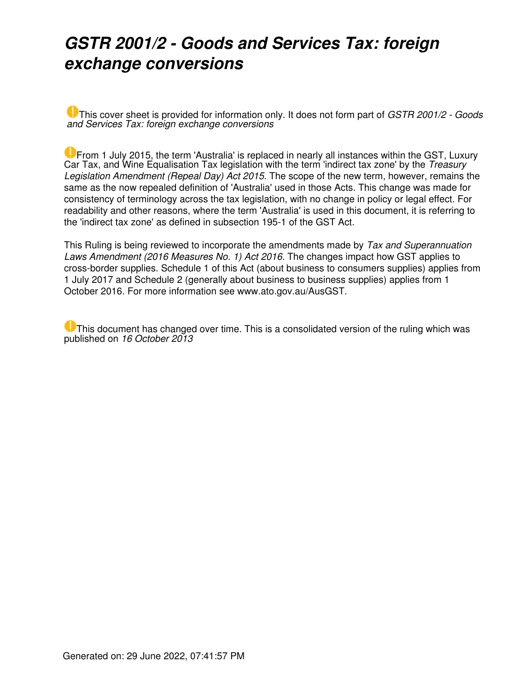## *GSTR 2001/2 - Goods and Services Tax: foreign exchange conversions*

This cover sheet is provided for information only. It does not form part of *GSTR 2001/2 - Goods and Services Tax: foreign exchange conversions*

**U** From 1 July 2015, the term 'Australia' is replaced in nearly all instances within the GST, Luxury Car Tax, and Wine Equalisation Tax legislation with the term 'indirect tax zone' by the *Treasury Legislation Amendment (Repeal Day) Act 2015*. The scope of the new term, however, remains the same as the now repealed definition of 'Australia' used in those Acts. This change was made for consistency of terminology across the tax legislation, with no change in policy or legal effect. For readability and other reasons, where the term 'Australia' is used in this document, it is referring to the 'indirect tax zone' as defined in subsection 195-1 of the GST Act.

This Ruling is being reviewed to incorporate the amendments made by *Tax and Superannuation Laws Amendment (2016 Measures No. 1) Act 2016.* The changes impact how GST applies to cross-border supplies. Schedule 1 of this Act (about business to consumers supplies) applies from 1 July 2017 and Schedule 2 (generally about business to business supplies) applies from 1 October 2016. For more information see www.ato.gov.au/AusGST.

This document has changed over time. This is a consolidated version of the ruling which was published on *16 October 2013*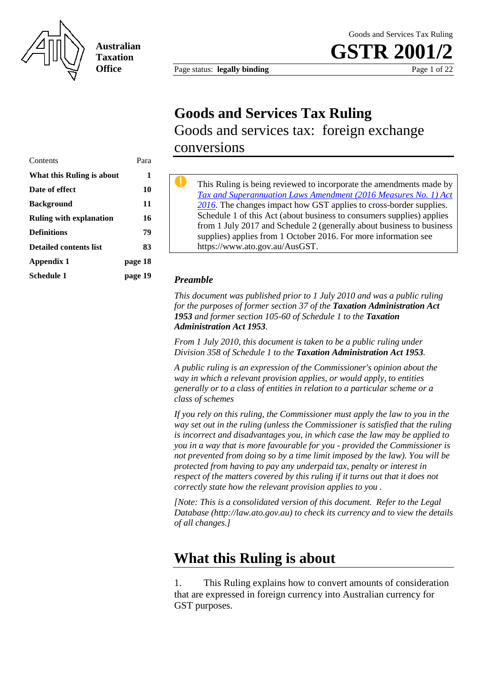

**Australian Taxation Office**

Page status: **legally binding** Page 1 of 22

**GSTR 200** 

## **Goods and Services Tax Ruling**

Goods and services tax: foreign exchange conversions

| Contents                       | Para    |
|--------------------------------|---------|
| What this Ruling is about      | 1       |
| Date of effect                 | 10      |
| <b>Background</b>              | 11      |
| <b>Ruling with explanation</b> | 16      |
| <b>Definitions</b>             | 79      |
| Detailed contents list         | 83      |
| Appendix 1                     | page 18 |
| Schedule 1                     | page 19 |

This Ruling is being reviewed to incorporate the amendments made by *Tax and Superannuation Laws Amendment (2016 Measures No. 1) Act 2016*. The changes impact how GST applies to cross-border supplies. Schedule 1 of this Act (about business to consumers supplies) applies from 1 July 2017 and Schedule 2 (generally about business to business supplies) applies from 1 October 2016. For more information see https://www.ato.gov.au/AusGST.

#### *Preamble*

*This document was published prior to 1 July 2010 and was a public ruling for the purposes of former section 37 of the Taxation Administration Act 1953 and former section 105-60 of Schedule 1 to the Taxation Administration Act 1953.* 

*From 1 July 2010, this document is taken to be a public ruling under Division 358 of Schedule 1 to the Taxation Administration Act 1953.* 

*A public ruling is an expression of the Commissioner's opinion about the way in which a relevant provision applies, or would apply, to entities generally or to a class of entities in relation to a particular scheme or a class of schemes* 

*If you rely on this ruling, the Commissioner must apply the law to you in the way set out in the ruling (unless the Commissioner is satisfied that the ruling is incorrect and disadvantages you, in which case the law may be applied to you in a way that is more favourable for you - provided the Commissioner is not prevented from doing so by a time limit imposed by the law). You will be protected from having to pay any underpaid tax, penalty or interest in respect of the matters covered by this ruling if it turns out that it does not correctly state how the relevant provision applies to you .* 

*[Note: This is a consolidated version of this document. Refer to the Legal Database (http://law.ato.gov.au) to check its currency and to view the details of all changes.]* 

### **What this Ruling is about**

1. This Ruling explains how to convert amounts of consideration that are expressed in foreign currency into Australian currency for GST purposes.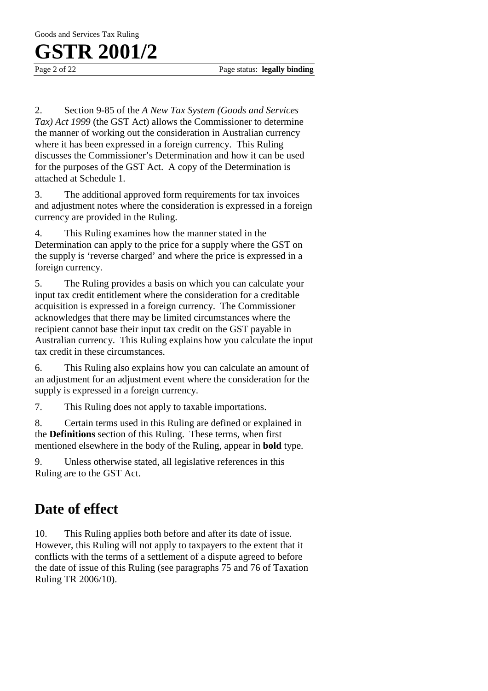Page 2 of 22 Page status: **legally binding** 

2. Section 9-85 of the *A New Tax System (Goods and Services Tax) Act 1999* (the GST Act) allows the Commissioner to determine the manner of working out the consideration in Australian currency where it has been expressed in a foreign currency. This Ruling discusses the Commissioner's Determination and how it can be used for the purposes of the GST Act. A copy of the Determination is attached at Schedule 1.

3. The additional approved form requirements for tax invoices and adjustment notes where the consideration is expressed in a foreign currency are provided in the Ruling.

4. This Ruling examines how the manner stated in the Determination can apply to the price for a supply where the GST on the supply is 'reverse charged' and where the price is expressed in a foreign currency.

5. The Ruling provides a basis on which you can calculate your input tax credit entitlement where the consideration for a creditable acquisition is expressed in a foreign currency. The Commissioner acknowledges that there may be limited circumstances where the recipient cannot base their input tax credit on the GST payable in Australian currency. This Ruling explains how you calculate the input tax credit in these circumstances.

6. This Ruling also explains how you can calculate an amount of an adjustment for an adjustment event where the consideration for the supply is expressed in a foreign currency.

7. This Ruling does not apply to taxable importations.

8. Certain terms used in this Ruling are defined or explained in the **Definitions** section of this Ruling. These terms, when first mentioned elsewhere in the body of the Ruling, appear in **bold** type.

9. Unless otherwise stated, all legislative references in this Ruling are to the GST Act.

### **Date of effect**

10. This Ruling applies both before and after its date of issue. However, this Ruling will not apply to taxpayers to the extent that it conflicts with the terms of a settlement of a dispute agreed to before the date of issue of this Ruling (see paragraphs 75 and 76 of Taxation Ruling TR 2006/10).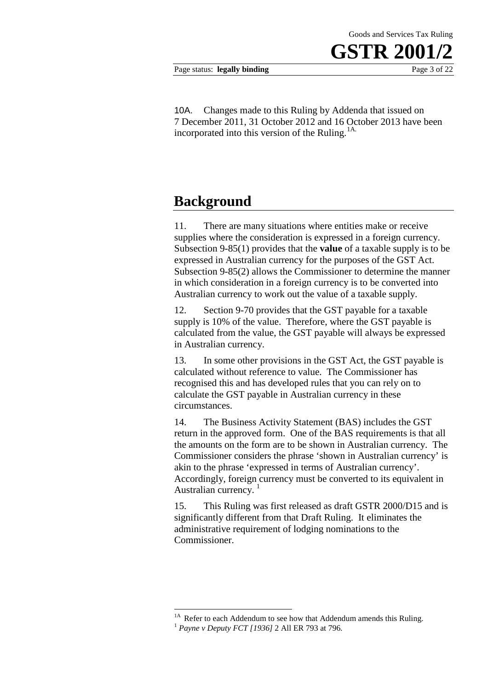10A. Changes made to this Ruling by Addenda that issued on 7 December 2011, 31 October 2012 and 16 October 2013 have been incorporated into this version of the Ruling.<sup>1A.</sup>

### **Background**

11. There are many situations where entities make or receive supplies where the consideration is expressed in a foreign currency. Subsection 9-85(1) provides that the **value** of a taxable supply is to be expressed in Australian currency for the purposes of the GST Act. Subsection 9-85(2) allows the Commissioner to determine the manner in which consideration in a foreign currency is to be converted into Australian currency to work out the value of a taxable supply.

12. Section 9-70 provides that the GST payable for a taxable supply is 10% of the value. Therefore, where the GST payable is calculated from the value, the GST payable will always be expressed in Australian currency.

13. In some other provisions in the GST Act, the GST payable is calculated without reference to value. The Commissioner has recognised this and has developed rules that you can rely on to calculate the GST payable in Australian currency in these circumstances.

14. The Business Activity Statement (BAS) includes the GST return in the approved form. One of the BAS requirements is that all the amounts on the form are to be shown in Australian currency. The Commissioner considers the phrase 'shown in Australian currency' is akin to the phrase 'expressed in terms of Australian currency'. Accordingly, foreign currency must be converted to its equivalent in Australian currency.  $1$ 

15. This Ruling was first released as draft GSTR 2000/D15 and is significantly different from that Draft Ruling. It eliminates the administrative requirement of lodging nominations to the Commissioner.

<u>.</u>

<sup>&</sup>lt;sup>1A</sup> Refer to each Addendum to see how that Addendum amends this Ruling.<br><sup>1</sup> *Payne v Deputy FCT* [1936] 2 All ER 793 at 796*.*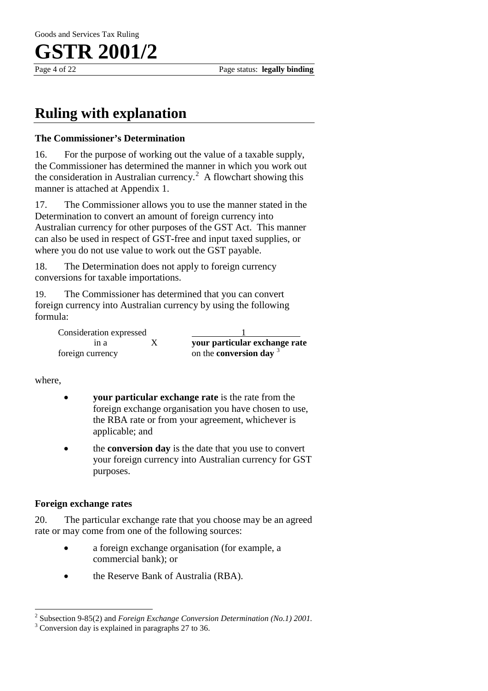

## **Ruling with explanation**

### **The Commissioner's Determination**

16. For the purpose of working out the value of a taxable supply, the Commissioner has determined the manner in which you work out the consideration in Australian currency.<sup>2</sup> A flowchart showing this manner is attached at Appendix 1.

17. The Commissioner allows you to use the manner stated in the Determination to convert an amount of foreign currency into Australian currency for other purposes of the GST Act. This manner can also be used in respect of GST-free and input taxed supplies, or where you do not use value to work out the GST payable.

18. The Determination does not apply to foreign currency conversions for taxable importations.

19. The Commissioner has determined that you can convert foreign currency into Australian currency by using the following formula:

Consideration expressed foreign currency on the **conversion day** <sup>3</sup>

in a X **your particular exchange rate**

where,

 $\overline{a}$ 

- **your particular exchange rate** is the rate from the foreign exchange organisation you have chosen to use, the RBA rate or from your agreement, whichever is applicable; and
- the **conversion day** is the date that you use to convert your foreign currency into Australian currency for GST purposes.

### **Foreign exchange rates**

20. The particular exchange rate that you choose may be an agreed rate or may come from one of the following sources:

- a foreign exchange organisation (for example, a commercial bank); or
- the Reserve Bank of Australia (RBA).

<sup>&</sup>lt;sup>2</sup> Subsection 9-85(2) and *Foreign Exchange Conversion Determination (No.1) 2001*.<br><sup>3</sup> Conversion day is explained in paragraphs 27 to 36.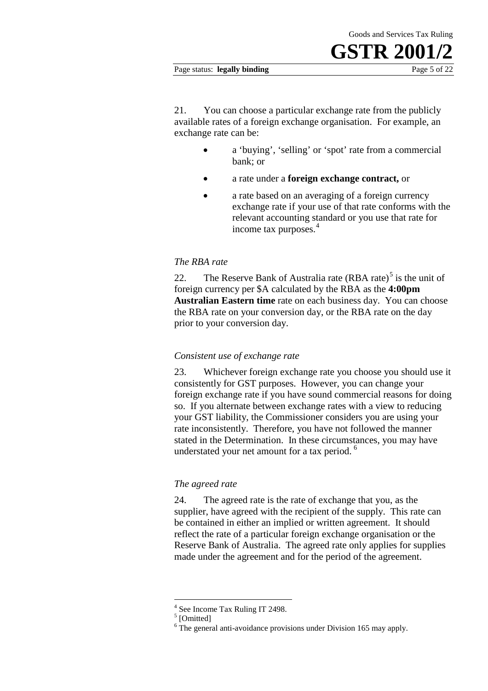#### Page status: **legally binding** Page 5 of 22

21. You can choose a particular exchange rate from the publicly available rates of a foreign exchange organisation. For example, an exchange rate can be:

- a 'buying', 'selling' or 'spot' rate from a commercial bank; or
- a rate under a **foreign exchange contract,** or
- a rate based on an averaging of a foreign currency exchange rate if your use of that rate conforms with the relevant accounting standard or you use that rate for income tax purposes.<sup>4</sup>

### *The RBA rate*

22. The Reserve Bank of Australia rate  $(RBA \, \text{rate})^5$  is the unit of foreign currency per \$A calculated by the RBA as the **4:00pm Australian Eastern time** rate on each business day. You can choose the RBA rate on your conversion day, or the RBA rate on the day prior to your conversion day.

### *Consistent use of exchange rate*

23. Whichever foreign exchange rate you choose you should use it consistently for GST purposes. However, you can change your foreign exchange rate if you have sound commercial reasons for doing so. If you alternate between exchange rates with a view to reducing your GST liability, the Commissioner considers you are using your rate inconsistently. Therefore, you have not followed the manner stated in the Determination. In these circumstances, you may have understated your net amount for a tax period. <sup>6</sup>

### *The agreed rate*

24. The agreed rate is the rate of exchange that you, as the supplier, have agreed with the recipient of the supply. This rate can be contained in either an implied or written agreement. It should reflect the rate of a particular foreign exchange organisation or the Reserve Bank of Australia. The agreed rate only applies for supplies made under the agreement and for the period of the agreement.

 $^{4}$  See Income Tax Ruling IT 2498.<br> $^{5}$  [Omitted] -

 $6$  The general anti-avoidance provisions under Division 165 may apply.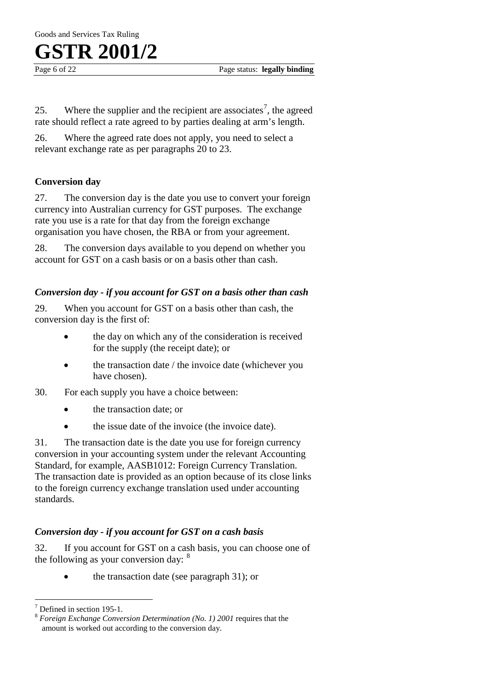Page 6 of 22 **Page status: legally binding** 

25. Where the supplier and the recipient are associates<sup>7</sup>, the agreed rate should reflect a rate agreed to by parties dealing at arm's length.

26. Where the agreed rate does not apply, you need to select a relevant exchange rate as per paragraphs 20 to 23.

### **Conversion day**

27. The conversion day is the date you use to convert your foreign currency into Australian currency for GST purposes. The exchange rate you use is a rate for that day from the foreign exchange organisation you have chosen, the RBA or from your agreement.

28. The conversion days available to you depend on whether you account for GST on a cash basis or on a basis other than cash.

### *Conversion day - if you account for GST on a basis other than cash*

29. When you account for GST on a basis other than cash, the conversion day is the first of:

- the day on which any of the consideration is received for the supply (the receipt date); or
- the transaction date / the invoice date (whichever you have chosen).
- 30. For each supply you have a choice between:
	- the transaction date; or
	- the issue date of the invoice (the invoice date).

31. The transaction date is the date you use for foreign currency conversion in your accounting system under the relevant Accounting Standard, for example, AASB1012: Foreign Currency Translation. The transaction date is provided as an option because of its close links to the foreign currency exchange translation used under accounting standards.

### *Conversion day - if you account for GST on a cash basis*

32. If you account for GST on a cash basis, you can choose one of the following as your conversion day: <sup>8</sup>

• the transaction date (see paragraph 31); or

 $7$  Defined in section 195-1.

<sup>&</sup>lt;sup>8</sup> Foreign Exchange Conversion Determination (No. 1) 2001 requires that the amount is worked out according to the conversion day.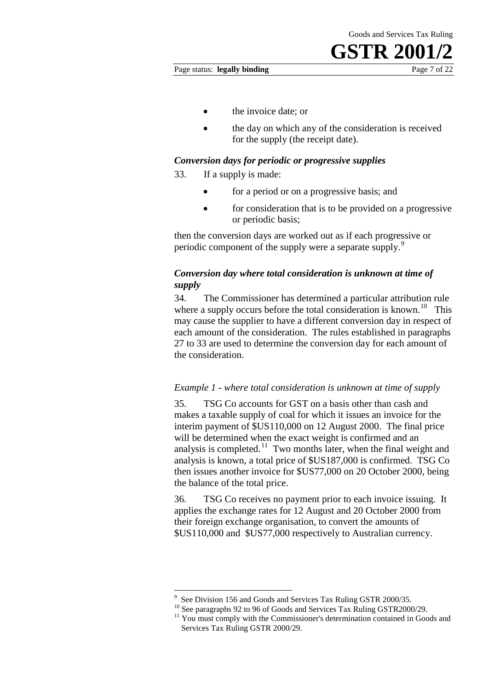Page status: **legally binding** Page 7 of 22

- the invoice date; or
- the day on which any of the consideration is received for the supply (the receipt date).

### *Conversion days for periodic or progressive supplies*

33. If a supply is made:

- for a period or on a progressive basis; and
- for consideration that is to be provided on a progressive or periodic basis;

then the conversion days are worked out as if each progressive or periodic component of the supply were a separate supply.<sup>9</sup>

### *Conversion day where total consideration is unknown at time of supply*

34. The Commissioner has determined a particular attribution rule where a supply occurs before the total consideration is known.<sup>10</sup> This may cause the supplier to have a different conversion day in respect of each amount of the consideration. The rules established in paragraphs 27 to 33 are used to determine the conversion day for each amount of the consideration.

### *Example 1 - where total consideration is unknown at time of supply*

35. TSG Co accounts for GST on a basis other than cash and makes a taxable supply of coal for which it issues an invoice for the interim payment of \$US110,000 on 12 August 2000. The final price will be determined when the exact weight is confirmed and an analysis is completed.<sup>11</sup> Two months later, when the final weight and analysis is known, a total price of \$US187,000 is confirmed. TSG Co then issues another invoice for \$US77,000 on 20 October 2000, being the balance of the total price.

36. TSG Co receives no payment prior to each invoice issuing. It applies the exchange rates for 12 August and 20 October 2000 from their foreign exchange organisation, to convert the amounts of \$US110,000 and \$US77,000 respectively to Australian currency.

<sup>9</sup> <u>.</u>

<sup>&</sup>lt;sup>9</sup> See Division 156 and Goods and Services Tax Ruling GSTR 2000/35.<br><sup>10</sup> See paragraphs 92 to 96 of Goods and Services Tax Ruling GSTR2000/29.<br><sup>11</sup> You must comply with the Commissioner's determination contained in Goods Services Tax Ruling GSTR 2000/29.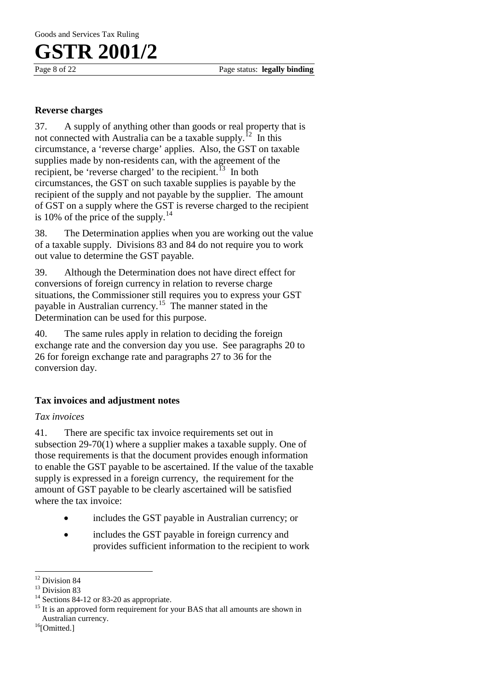Page 8 of 22 **Page status: legally binding** 

### **Reverse charges**

37. A supply of anything other than goods or real property that is not connected with Australia can be a taxable supply.<sup>12</sup> In this circumstance, a 'reverse charge' applies. Also, the GST on taxable supplies made by non-residents can, with the agreement of the recipient, be 'reverse charged' to the recipient.<sup>13</sup> In both circumstances, the GST on such taxable supplies is payable by the recipient of the supply and not payable by the supplier. The amount of GST on a supply where the GST is reverse charged to the recipient is 10% of the price of the supply. $^{14}$ 

38. The Determination applies when you are working out the value of a taxable supply. Divisions 83 and 84 do not require you to work out value to determine the GST payable.

39. Although the Determination does not have direct effect for conversions of foreign currency in relation to reverse charge situations, the Commissioner still requires you to express your GST payable in Australian currency.15 The manner stated in the Determination can be used for this purpose.

40. The same rules apply in relation to deciding the foreign exchange rate and the conversion day you use. See paragraphs 20 to 26 for foreign exchange rate and paragraphs 27 to 36 for the conversion day.

### **Tax invoices and adjustment notes**

### *Tax invoices*

41. There are specific tax invoice requirements set out in subsection 29-70(1) where a supplier makes a taxable supply. One of those requirements is that the document provides enough information to enable the GST payable to be ascertained. If the value of the taxable supply is expressed in a foreign currency, the requirement for the amount of GST payable to be clearly ascertained will be satisfied where the tax invoice:

- includes the GST payable in Australian currency; or
- includes the GST payable in foreign currency and provides sufficient information to the recipient to work

<sup>&</sup>lt;sup>12</sup> Division 84

<sup>&</sup>lt;sup>13</sup> Division 83<br><sup>14</sup> Sections 84-12 or 83-20 as appropriate.<br><sup>15</sup> It is an approved form requirement for your BAS that all amounts are shown in Australian currency.<br><sup>16</sup>[Omitted.]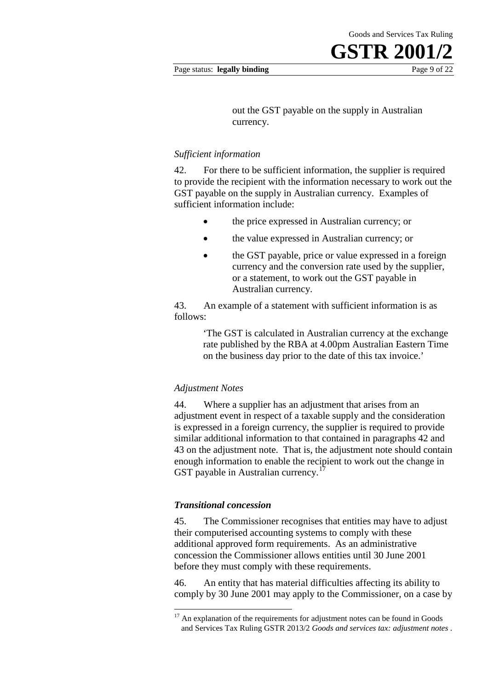out the GST payable on the supply in Australian currency.

#### *Sufficient information*

42. For there to be sufficient information, the supplier is required to provide the recipient with the information necessary to work out the GST payable on the supply in Australian currency. Examples of sufficient information include:

- the price expressed in Australian currency; or
- the value expressed in Australian currency; or
- the GST payable, price or value expressed in a foreign currency and the conversion rate used by the supplier, or a statement, to work out the GST payable in Australian currency.

43. An example of a statement with sufficient information is as follows:

> 'The GST is calculated in Australian currency at the exchange rate published by the RBA at 4.00pm Australian Eastern Time on the business day prior to the date of this tax invoice.'

#### *Adjustment Notes*

44. Where a supplier has an adjustment that arises from an adjustment event in respect of a taxable supply and the consideration is expressed in a foreign currency, the supplier is required to provide similar additional information to that contained in paragraphs 42 and 43 on the adjustment note. That is, the adjustment note should contain enough information to enable the recipient to work out the change in GST payable in Australian currency.<sup>17</sup>

#### *Transitional concession*

<u>.</u>

45. The Commissioner recognises that entities may have to adjust their computerised accounting systems to comply with these additional approved form requirements. As an administrative concession the Commissioner allows entities until 30 June 2001 before they must comply with these requirements.

46. An entity that has material difficulties affecting its ability to comply by 30 June 2001 may apply to the Commissioner, on a case by

 $17$  An explanation of the requirements for adjustment notes can be found in Goods and Services Tax Ruling GSTR 2013/2 *Goods and services tax: adjustment notes* .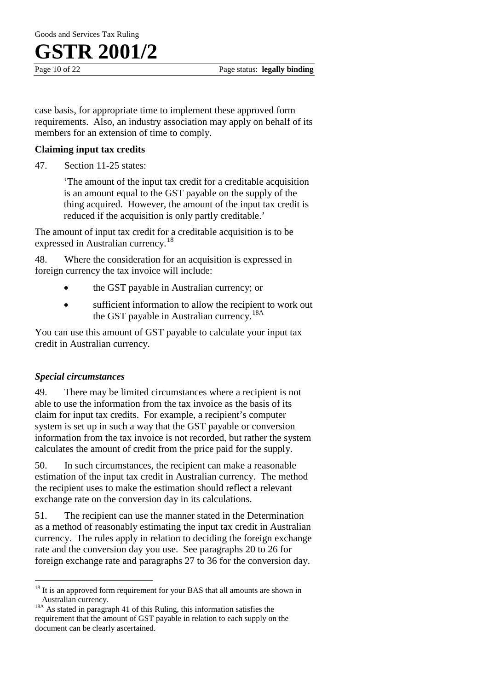

case basis, for appropriate time to implement these approved form requirements. Also, an industry association may apply on behalf of its members for an extension of time to comply.

### **Claiming input tax credits**

47. Section 11-25 states:

'The amount of the input tax credit for a creditable acquisition is an amount equal to the GST payable on the supply of the thing acquired. However, the amount of the input tax credit is reduced if the acquisition is only partly creditable.'

The amount of input tax credit for a creditable acquisition is to be expressed in Australian currency.<sup>18</sup>

48. Where the consideration for an acquisition is expressed in foreign currency the tax invoice will include:

- the GST payable in Australian currency; or
- sufficient information to allow the recipient to work out the GST payable in Australian currency.<sup>18A</sup>

You can use this amount of GST payable to calculate your input tax credit in Australian currency.

### *Special circumstances*

 $\overline{a}$ 

49. There may be limited circumstances where a recipient is not able to use the information from the tax invoice as the basis of its claim for input tax credits. For example, a recipient's computer system is set up in such a way that the GST payable or conversion information from the tax invoice is not recorded, but rather the system calculates the amount of credit from the price paid for the supply.

50. In such circumstances, the recipient can make a reasonable estimation of the input tax credit in Australian currency. The method the recipient uses to make the estimation should reflect a relevant exchange rate on the conversion day in its calculations.

51. The recipient can use the manner stated in the Determination as a method of reasonably estimating the input tax credit in Australian currency. The rules apply in relation to deciding the foreign exchange rate and the conversion day you use. See paragraphs 20 to 26 for foreign exchange rate and paragraphs 27 to 36 for the conversion day.

<sup>&</sup>lt;sup>18</sup> It is an approved form requirement for your BAS that all amounts are shown in

Australian currency. 18A As stated in paragraph 41 of this Ruling, this information satisfies the requirement that the amount of GST payable in relation to each supply on the document can be clearly ascertained.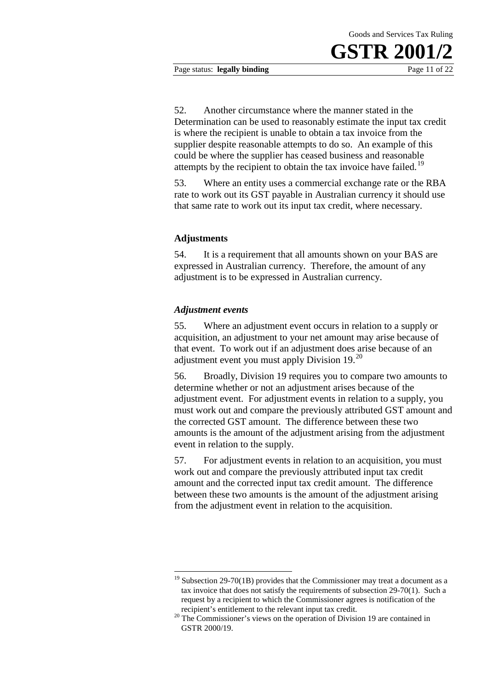#### Page status: **legally binding** Page 11 of 22

52. Another circumstance where the manner stated in the Determination can be used to reasonably estimate the input tax credit is where the recipient is unable to obtain a tax invoice from the supplier despite reasonable attempts to do so. An example of this could be where the supplier has ceased business and reasonable attempts by the recipient to obtain the tax invoice have failed.<sup>19</sup>

53. Where an entity uses a commercial exchange rate or the RBA rate to work out its GST payable in Australian currency it should use that same rate to work out its input tax credit, where necessary.

### **Adjustments**

54. It is a requirement that all amounts shown on your BAS are expressed in Australian currency. Therefore, the amount of any adjustment is to be expressed in Australian currency.

### *Adjustment events*

-

55. Where an adjustment event occurs in relation to a supply or acquisition, an adjustment to your net amount may arise because of that event. To work out if an adjustment does arise because of an adjustment event you must apply Division 19.<sup>20</sup>

56. Broadly, Division 19 requires you to compare two amounts to determine whether or not an adjustment arises because of the adjustment event. For adjustment events in relation to a supply, you must work out and compare the previously attributed GST amount and the corrected GST amount. The difference between these two amounts is the amount of the adjustment arising from the adjustment event in relation to the supply.

57. For adjustment events in relation to an acquisition, you must work out and compare the previously attributed input tax credit amount and the corrected input tax credit amount. The difference between these two amounts is the amount of the adjustment arising from the adjustment event in relation to the acquisition.

 $19$  Subsection 29-70(1B) provides that the Commissioner may treat a document as a tax invoice that does not satisfy the requirements of subsection 29-70(1). Such a request by a recipient to which the Commissioner agrees is notification of the recipient's entitlement to the relevant input tax credit.

 $20$  The Commissioner's views on the operation of Division 19 are contained in GSTR 2000/19.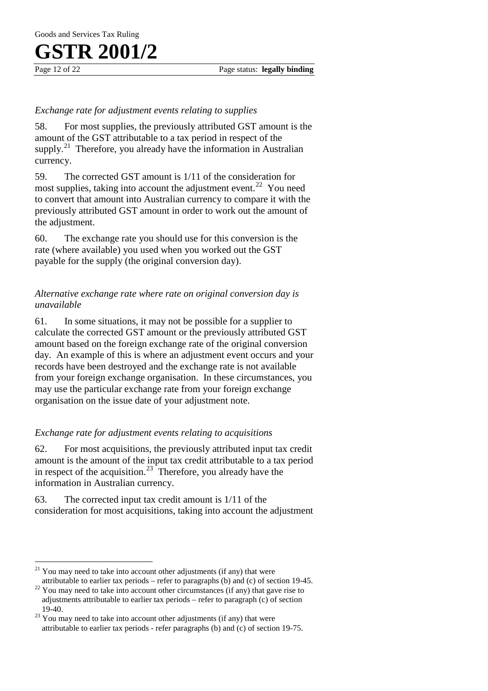# FR 2001

### *Exchange rate for adjustment events relating to supplies*

58. For most supplies, the previously attributed GST amount is the amount of the GST attributable to a tax period in respect of the supply.<sup>21</sup> Therefore, you already have the information in Australian currency.

59. The corrected GST amount is 1/11 of the consideration for most supplies, taking into account the adjustment event.<sup>22</sup> You need to convert that amount into Australian currency to compare it with the previously attributed GST amount in order to work out the amount of the adjustment.

60. The exchange rate you should use for this conversion is the rate (where available) you used when you worked out the GST payable for the supply (the original conversion day).

### *Alternative exchange rate where rate on original conversion day is unavailable*

61. In some situations, it may not be possible for a supplier to calculate the corrected GST amount or the previously attributed GST amount based on the foreign exchange rate of the original conversion day. An example of this is where an adjustment event occurs and your records have been destroyed and the exchange rate is not available from your foreign exchange organisation. In these circumstances, you may use the particular exchange rate from your foreign exchange organisation on the issue date of your adjustment note.

### *Exchange rate for adjustment events relating to acquisitions*

62. For most acquisitions, the previously attributed input tax credit amount is the amount of the input tax credit attributable to a tax period in respect of the acquisition.<sup>23</sup> Therefore, you already have the information in Australian currency.

63. The corrected input tax credit amount is 1/11 of the consideration for most acquisitions, taking into account the adjustment

You may need to take into account other adjustments (if any) that were attributable to earlier tax periods – refer to paragraphs (b) and (c) of section 19-45.  $\overline{a}$ 

 $22$  You may need to take into account other circumstances (if any) that gave rise to adjustments attributable to earlier tax periods – refer to paragraph (c) of section

 $123$  You may need to take into account other adjustments (if any) that were attributable to earlier tax periods - refer paragraphs (b) and (c) of section 19-75.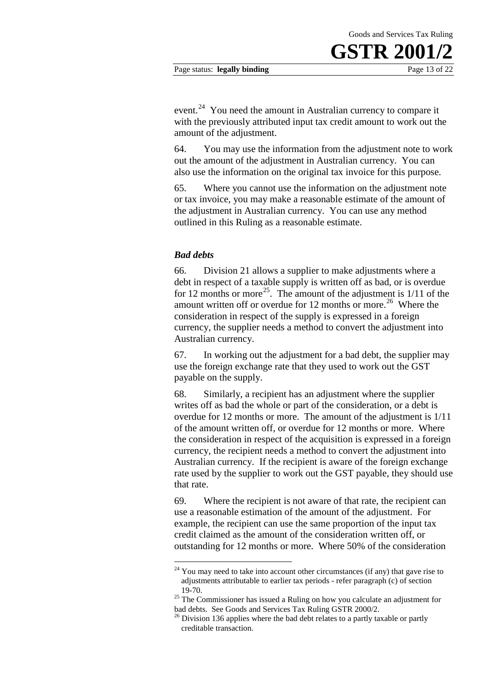event.<sup>24</sup> You need the amount in Australian currency to compare it with the previously attributed input tax credit amount to work out the amount of the adjustment.

64. You may use the information from the adjustment note to work out the amount of the adjustment in Australian currency. You can also use the information on the original tax invoice for this purpose.

65. Where you cannot use the information on the adjustment note or tax invoice, you may make a reasonable estimate of the amount of the adjustment in Australian currency. You can use any method outlined in this Ruling as a reasonable estimate.

### *Bad debts*

-

66. Division 21 allows a supplier to make adjustments where a debt in respect of a taxable supply is written off as bad, or is overdue for 12 months or more<sup>25</sup>. The amount of the adjustment is  $1/11$  of the amount written off or overdue for 12 months or more.<sup>26</sup> Where the consideration in respect of the supply is expressed in a foreign currency, the supplier needs a method to convert the adjustment into Australian currency.

67. In working out the adjustment for a bad debt, the supplier may use the foreign exchange rate that they used to work out the GST payable on the supply.

68. Similarly, a recipient has an adjustment where the supplier writes off as bad the whole or part of the consideration, or a debt is overdue for 12 months or more. The amount of the adjustment is 1/11 of the amount written off, or overdue for 12 months or more. Where the consideration in respect of the acquisition is expressed in a foreign currency, the recipient needs a method to convert the adjustment into Australian currency. If the recipient is aware of the foreign exchange rate used by the supplier to work out the GST payable, they should use that rate.

69. Where the recipient is not aware of that rate, the recipient can use a reasonable estimation of the amount of the adjustment. For example, the recipient can use the same proportion of the input tax credit claimed as the amount of the consideration written off, or outstanding for 12 months or more. Where 50% of the consideration

 $24$  You may need to take into account other circumstances (if any) that gave rise to adjustments attributable to earlier tax periods - refer paragraph (c) of section

<sup>&</sup>lt;sup>25</sup> The Commissioner has issued a Ruling on how you calculate an adjustment for bad debts. See Goods and Services Tax Ruling GSTR 2000/2.

 $^{26}$  Division 136 applies where the bad debt relates to a partly taxable or partly creditable transaction.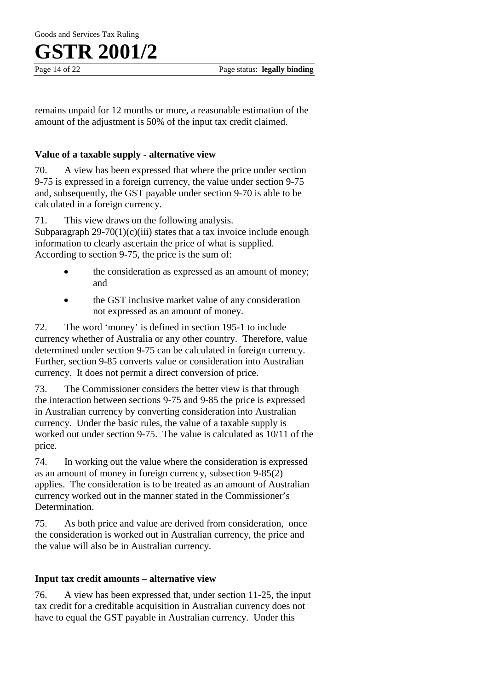remains unpaid for 12 months or more, a reasonable estimation of the amount of the adjustment is 50% of the input tax credit claimed.

### **Value of a taxable supply - alternative view**

70. A view has been expressed that where the price under section 9-75 is expressed in a foreign currency, the value under section 9-75 and, subsequently, the GST payable under section 9-70 is able to be calculated in a foreign currency.

71. This view draws on the following analysis.

Subparagraph  $29-70(1)(c)(iii)$  states that a tax invoice include enough information to clearly ascertain the price of what is supplied. According to section 9-75, the price is the sum of:

- the consideration as expressed as an amount of money; and
- the GST inclusive market value of any consideration not expressed as an amount of money.

72. The word 'money' is defined in section 195-1 to include currency whether of Australia or any other country. Therefore, value determined under section 9-75 can be calculated in foreign currency. Further, section 9-85 converts value or consideration into Australian currency. It does not permit a direct conversion of price.

73. The Commissioner considers the better view is that through the interaction between sections 9-75 and 9-85 the price is expressed in Australian currency by converting consideration into Australian currency. Under the basic rules, the value of a taxable supply is worked out under section 9-75. The value is calculated as 10/11 of the price.

74. In working out the value where the consideration is expressed as an amount of money in foreign currency, subsection 9-85(2) applies. The consideration is to be treated as an amount of Australian currency worked out in the manner stated in the Commissioner's Determination.

75. As both price and value are derived from consideration, once the consideration is worked out in Australian currency, the price and the value will also be in Australian currency.

### **Input tax credit amounts – alternative view**

76. A view has been expressed that, under section 11-25, the input tax credit for a creditable acquisition in Australian currency does not have to equal the GST payable in Australian currency. Under this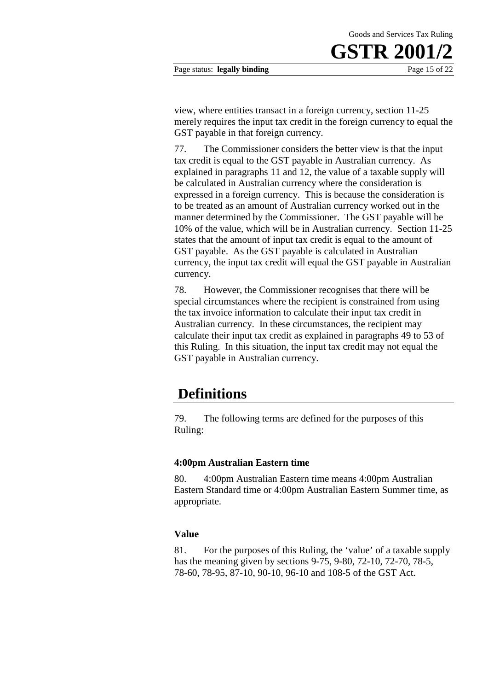Goods and Services Tax Ruling

view, where entities transact in a foreign currency, section 11-25 merely requires the input tax credit in the foreign currency to equal the GST payable in that foreign currency.

77. The Commissioner considers the better view is that the input tax credit is equal to the GST payable in Australian currency. As explained in paragraphs 11 and 12, the value of a taxable supply will be calculated in Australian currency where the consideration is expressed in a foreign currency. This is because the consideration is to be treated as an amount of Australian currency worked out in the manner determined by the Commissioner. The GST payable will be 10% of the value, which will be in Australian currency. Section 11-25 states that the amount of input tax credit is equal to the amount of GST payable. As the GST payable is calculated in Australian currency, the input tax credit will equal the GST payable in Australian currency.

78. However, the Commissioner recognises that there will be special circumstances where the recipient is constrained from using the tax invoice information to calculate their input tax credit in Australian currency. In these circumstances, the recipient may calculate their input tax credit as explained in paragraphs 49 to 53 of this Ruling. In this situation, the input tax credit may not equal the GST payable in Australian currency.

### **Definitions**

79. The following terms are defined for the purposes of this Ruling:

### **4:00pm Australian Eastern time**

80. 4:00pm Australian Eastern time means 4:00pm Australian Eastern Standard time or 4:00pm Australian Eastern Summer time, as appropriate.

### **Value**

81. For the purposes of this Ruling, the 'value' of a taxable supply has the meaning given by sections 9-75, 9-80, 72-10, 72-70, 78-5, 78-60, 78-95, 87-10, 90-10, 96-10 and 108-5 of the GST Act.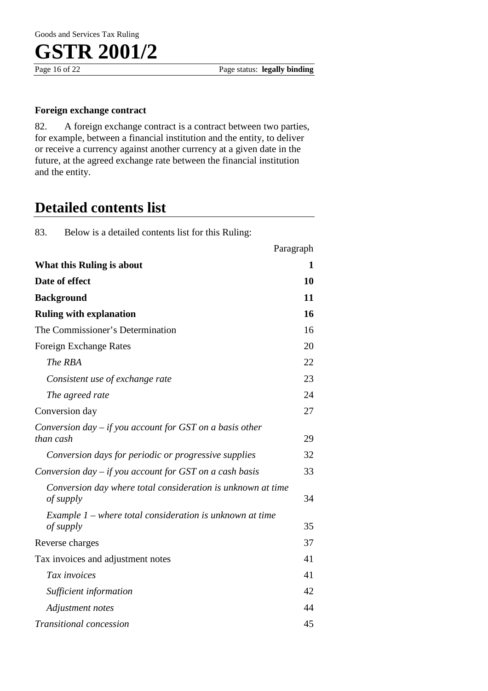### **Foreign exchange contract**

82. A foreign exchange contract is a contract between two parties, for example, between a financial institution and the entity, to deliver or receive a currency against another currency at a given date in the future, at the agreed exchange rate between the financial institution and the entity.

### **Detailed contents list**

83. Below is a detailed contents list for this Ruling:

|                                                                          | Paragraph |
|--------------------------------------------------------------------------|-----------|
| <b>What this Ruling is about</b>                                         | 1         |
| Date of effect                                                           | 10        |
| <b>Background</b>                                                        | 11        |
| <b>Ruling with explanation</b>                                           | 16        |
| The Commissioner's Determination                                         | 16        |
| Foreign Exchange Rates                                                   | 20        |
| The RBA                                                                  | 22        |
| Consistent use of exchange rate                                          | 23        |
| The agreed rate                                                          | 24        |
| Conversion day                                                           | 27        |
| Conversion day $-$ if you account for GST on a basis other<br>than cash  | 29        |
| Conversion days for periodic or progressive supplies                     | 32        |
| Conversion day $-$ if you account for GST on a cash basis                | 33        |
| Conversion day where total consideration is unknown at time<br>of supply | 34        |
| Example $1$ – where total consideration is unknown at time               |           |
| of supply                                                                | 35        |
| Reverse charges                                                          | 37        |
| Tax invoices and adjustment notes                                        | 41        |
| Tax invoices                                                             | 41        |
| Sufficient information                                                   | 42        |
| Adjustment notes                                                         | 44        |
| <i>Transitional concession</i>                                           | 45        |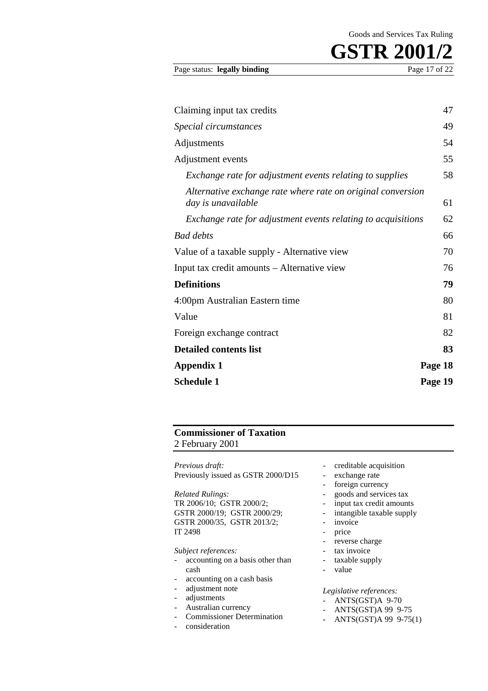| Page status: legally binding | Page 17 of 22 |
|------------------------------|---------------|
|                              |               |

| Claiming input tax credits                                                        | 47      |
|-----------------------------------------------------------------------------------|---------|
| Special circumstances                                                             | 49      |
| Adjustments                                                                       | 54      |
| Adjustment events                                                                 | 55      |
| Exchange rate for adjustment events relating to supplies                          | 58      |
| Alternative exchange rate where rate on original conversion<br>day is unavailable | 61      |
| Exchange rate for adjustment events relating to acquisitions                      | 62      |
| <b>Bad debts</b>                                                                  | 66      |
| Value of a taxable supply - Alternative view                                      | 70      |
| Input tax credit amounts – Alternative view                                       | 76      |
| <b>Definitions</b>                                                                | 79      |
| 4:00pm Australian Eastern time                                                    | 80      |
| Value                                                                             | 81      |
| Foreign exchange contract                                                         | 82      |
| <b>Detailed contents list</b>                                                     | 83      |
| <b>Appendix 1</b>                                                                 | Page 18 |
| <b>Schedule 1</b>                                                                 | Page 19 |

### **Commissioner of Taxation**

2 February 2001

*Previous draft:* Previously issued as GSTR 2000/D15

*Related Rulings:* TR 2006/10; GSTR 2000/2; GSTR 2000/19; GSTR 2000/29; GSTR 2000/35, GSTR 2013/2; IT 2498

*Subject references:*

- accounting on a basis other than cash
- accounting on a cash basis
- adjustment note
- adjustments
- Australian currency
- Commissioner Determination
- consideration
- creditable acquisition
- exchange rate
- foreign currency
- goods and services tax
- input tax credit amounts
- intangible taxable supply
- invoice
- price
- reverse charge
- tax invoice
- taxable supply
- value

*Legislative references:*

- ANTS(GST)A 9-70<br>- ANTS(GST)A 99 9-
- ANTS(GST)A 99 9-75
- ANTS(GST)A 99 9-75(1)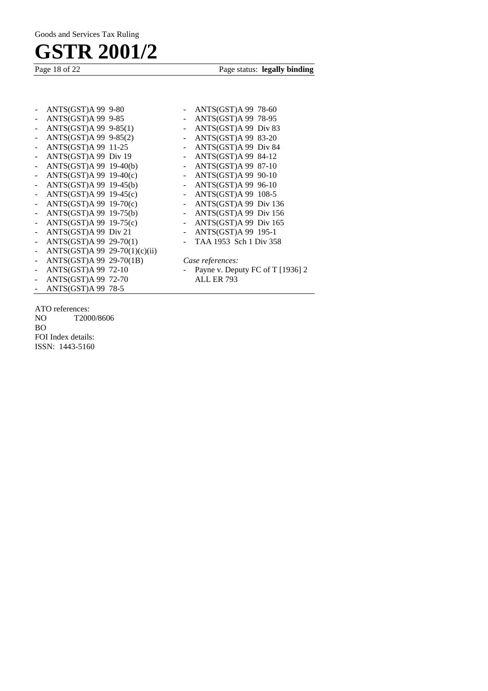Page status: **legally binding** 

| ANTS(GST)A 99 9-85<br>ANTS(GST)A 99 78-95<br>-<br>$ANTS(GST)A 99 9-85(1)$<br>ANTS(GST)A 99 Div 83<br>- |  |
|--------------------------------------------------------------------------------------------------------|--|
|                                                                                                        |  |
|                                                                                                        |  |
| $ANTS(GST)A 99 9-85(2)$<br>ANTS(GST)A 99 83-20<br>-<br>$\sim$                                          |  |
| ANTS(GST)A 99 11-25<br>ANTS(GST)A 99 Div 84<br>$\blacksquare$<br>$\sim$                                |  |
| ANTS(GST)A 99 Div 19<br>- ANTS(GST)A 99 84-12<br>$\omega_{\rm c}$                                      |  |
| $ANTS(GST)A 99 19-40(b)$<br>- ANTS(GST)A 99 87-10<br>$\blacksquare$                                    |  |
| $ANTS(GST)A 99 19-40(c)$<br>- $ANTS(GST)A 99 90-10$<br>$\blacksquare$                                  |  |
| $ANTS(GST)A 99 19-45(b)$<br>- $ANTS(GST)A 99 96-10$<br>$\overline{\phantom{0}}$                        |  |
| $ANTS(GST)A 99 19-45(c)$<br>- ANTS(GST)A 99 108-5<br>÷,                                                |  |
| $ANTS(GST)A 99 19-70(c)$<br>- ANTS(GST)A 99 Div $136$<br>$\frac{1}{2}$                                 |  |
| $ANTS(GST)A 99 19-75(b)$<br>$ANTS(GST)A 99$ Div 156<br>$\frac{1}{2}$<br>$\sim$ $-$                     |  |
| - ANTS(GST)A 99 Div 165<br>$ANTS(GST)A 99 19-75(c)$<br>$\blacksquare$                                  |  |
| ANTS(GST)A 99 Div 21<br>ANTS(GST)A 99 195-1<br>÷,<br>$\sim$                                            |  |
| TAA 1953 Sch 1 Div 358<br>ANTS(GST)A 99 29-70(1)<br>-                                                  |  |
| ANTS(GST)A 99 29-70(1)(c)(ii)<br>$\overline{\phantom{0}}$                                              |  |
| ANTS(GST)A 99 29-70(1B)<br>Case references:<br>$\blacksquare$                                          |  |
| ANTS(GST)A 99 72-10<br>Payne v. Deputy FC of T [1936] 2<br>-                                           |  |
| <b>ALL ER 793</b><br>ANTS(GST)A 99 72-70<br>$\overline{\phantom{0}}$                                   |  |
| $ANTS(GST)A 99 78-5$<br>$\sim$                                                                         |  |

ATO references:<br>NO T200 T2000/8606 BO FOI Index details:

ISSN: 1443-5160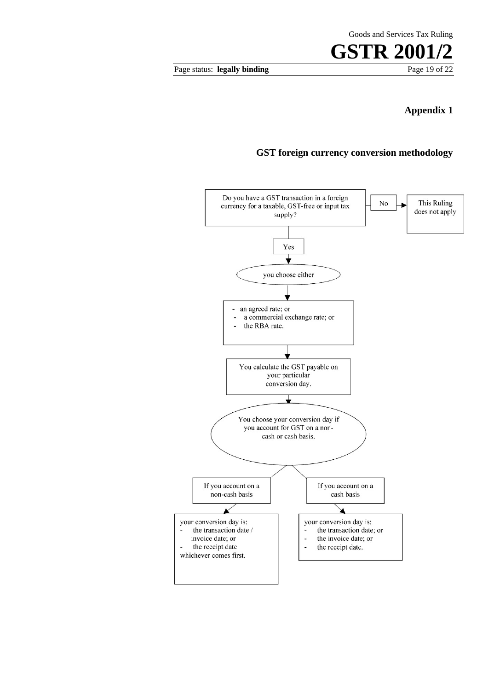Page status: **legally binding** 

## **Appendix 1**

### **GST foreign currency conversion methodology**

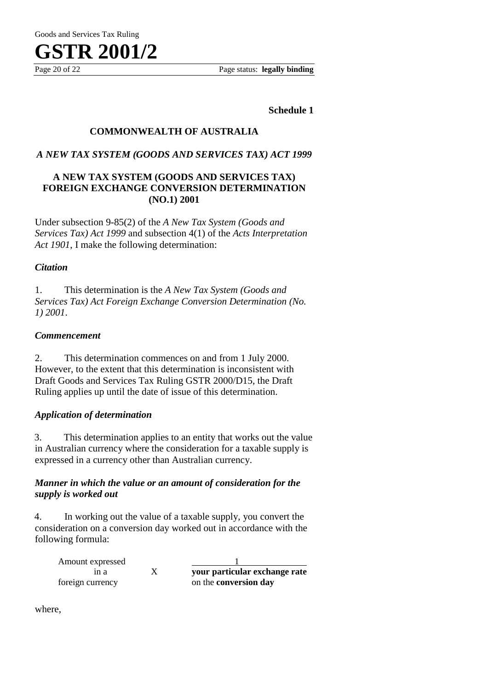

Page 20 of 22 Page status: **legally binding**

**Schedule 1**

### **COMMONWEALTH OF AUSTRALIA**

### *A NEW TAX SYSTEM (GOODS AND SERVICES TAX) ACT 1999*

### **A NEW TAX SYSTEM (GOODS AND SERVICES TAX) FOREIGN EXCHANGE CONVERSION DETERMINATION (NO.1) 2001**

Under subsection 9-85(2) of the *A New Tax System (Goods and Services Tax) Act 1999* and subsection 4(1) of the *Acts Interpretation Act 1901*, I make the following determination:

### *Citation*

1. This determination is the *A New Tax System (Goods and Services Tax) Act Foreign Exchange Conversion Determination (No. 1) 2001*.

### *Commencement*

2. This determination commences on and from 1 July 2000. However, to the extent that this determination is inconsistent with Draft Goods and Services Tax Ruling GSTR 2000/D15, the Draft Ruling applies up until the date of issue of this determination.

### *Application of determination*

3. This determination applies to an entity that works out the value in Australian currency where the consideration for a taxable supply is expressed in a currency other than Australian currency.

### *Manner in which the value or an amount of consideration for the supply is worked out*

4. In working out the value of a taxable supply, you convert the consideration on a conversion day worked out in accordance with the following formula:

| Amount expressed |                               |
|------------------|-------------------------------|
| ın a             | your particular exchange rate |
| foreign currency | on the <b>conversion day</b>  |

where,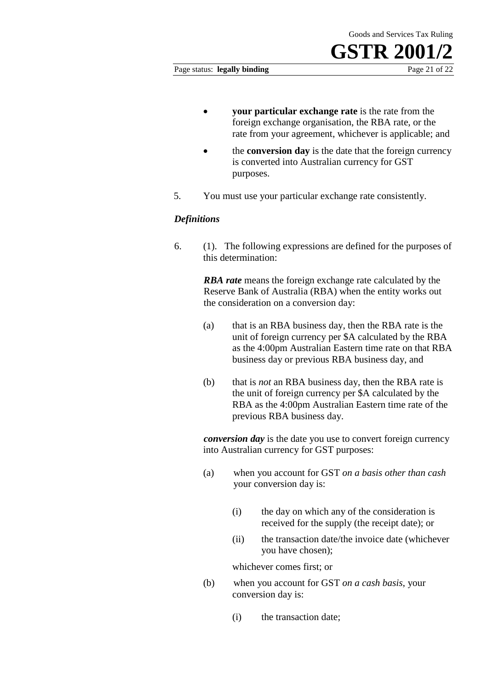#### Page status: **legally binding** Page 21 of 22

- **your particular exchange rate** is the rate from the foreign exchange organisation, the RBA rate, or the rate from your agreement, whichever is applicable; and
- the **conversion day** is the date that the foreign currency is converted into Australian currency for GST purposes.
- 5. You must use your particular exchange rate consistently.

### *Definitions*

6. (1). The following expressions are defined for the purposes of this determination:

> *RBA rate* means the foreign exchange rate calculated by the Reserve Bank of Australia (RBA) when the entity works out the consideration on a conversion day:

- (a) that is an RBA business day, then the RBA rate is the unit of foreign currency per \$A calculated by the RBA as the 4:00pm Australian Eastern time rate on that RBA business day or previous RBA business day, and
- (b) that is *not* an RBA business day, then the RBA rate is the unit of foreign currency per \$A calculated by the RBA as the 4:00pm Australian Eastern time rate of the previous RBA business day.

*conversion day* is the date you use to convert foreign currency into Australian currency for GST purposes:

- (a) when you account for GST *on a basis other than cash* your conversion day is:
	- (i) the day on which any of the consideration is received for the supply (the receipt date); or
	- (ii) the transaction date/the invoice date (whichever you have chosen);

whichever comes first; or

- (b) when you account for GST *on a cash basis*, your conversion day is:
	- (i) the transaction date;